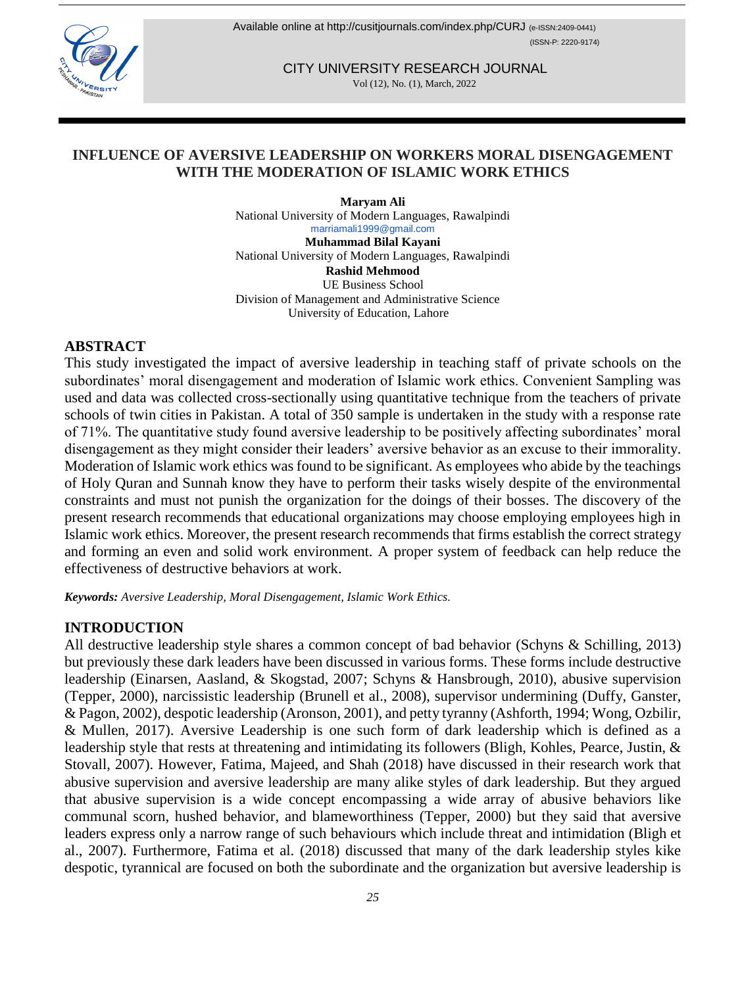

Available online at <http://cusitjournals.com/index.php/CURJ> (e-ISSN:2409-0441) (ISSN-P: 2220-9174)

> CITY UNIVERSITY RESEARCH JOURNAL Vol (12), No. (1), March, 2022

## **INFLUENCE OF AVERSIVE LEADERSHIP ON WORKERS MORAL DISENGAGEMENT WITH THE MODERATION OF ISLAMIC WORK ETHICS**

**Maryam Ali**  National University of Modern Languages, Rawalpindi [marriamali1999@gmail.com](mailto:marriamali1999@gmail.com) **Muhammad Bilal Kayani**  National University of Modern Languages, Rawalpindi **Rashid Mehmood**  UE Business School Division of Management and Administrative Science University of Education, Lahore

## **ABSTRACT**

This study investigated the impact of aversive leadership in teaching staff of private schools on the subordinates' moral disengagement and moderation of Islamic work ethics. Convenient Sampling was used and data was collected cross-sectionally using quantitative technique from the teachers of private schools of twin cities in Pakistan. A total of 350 sample is undertaken in the study with a response rate of 71%. The quantitative study found aversive leadership to be positively affecting subordinates' moral disengagement as they might consider their leaders' aversive behavior as an excuse to their immorality. Moderation of Islamic work ethics was found to be significant. As employees who abide by the teachings of Holy Quran and Sunnah know they have to perform their tasks wisely despite of the environmental constraints and must not punish the organization for the doings of their bosses. The discovery of the present research recommends that educational organizations may choose employing employees high in Islamic work ethics. Moreover, the present research recommends that firms establish the correct strategy and forming an even and solid work environment. A proper system of feedback can help reduce the effectiveness of destructive behaviors at work.

*Keywords: Aversive Leadership, Moral Disengagement, Islamic Work Ethics.*

### **INTRODUCTION**

All destructive leadership style shares a common concept of bad behavior (Schyns & Schilling, 2013) but previously these dark leaders have been discussed in various forms. These forms include destructive leadership (Einarsen, Aasland, & Skogstad, 2007; Schyns & Hansbrough, 2010), abusive supervision (Tepper, 2000), narcissistic leadership (Brunell et al., 2008), supervisor undermining (Duffy, Ganster, & Pagon, 2002), despotic leadership (Aronson, 2001), and petty tyranny (Ashforth, 1994; Wong, Ozbilir, & Mullen, 2017). Aversive Leadership is one such form of dark leadership which is defined as a leadership style that rests at threatening and intimidating its followers (Bligh, Kohles, Pearce, Justin, & Stovall, 2007). However, Fatima, Majeed, and Shah (2018) have discussed in their research work that abusive supervision and aversive leadership are many alike styles of dark leadership. But they argued that abusive supervision is a wide concept encompassing a wide array of abusive behaviors like communal scorn, hushed behavior, and blameworthiness (Tepper, 2000) but they said that aversive leaders express only a narrow range of such behaviours which include threat and intimidation (Bligh et al., 2007). Furthermore, Fatima et al. (2018) discussed that many of the dark leadership styles kike despotic, tyrannical are focused on both the subordinate and the organization but aversive leadership is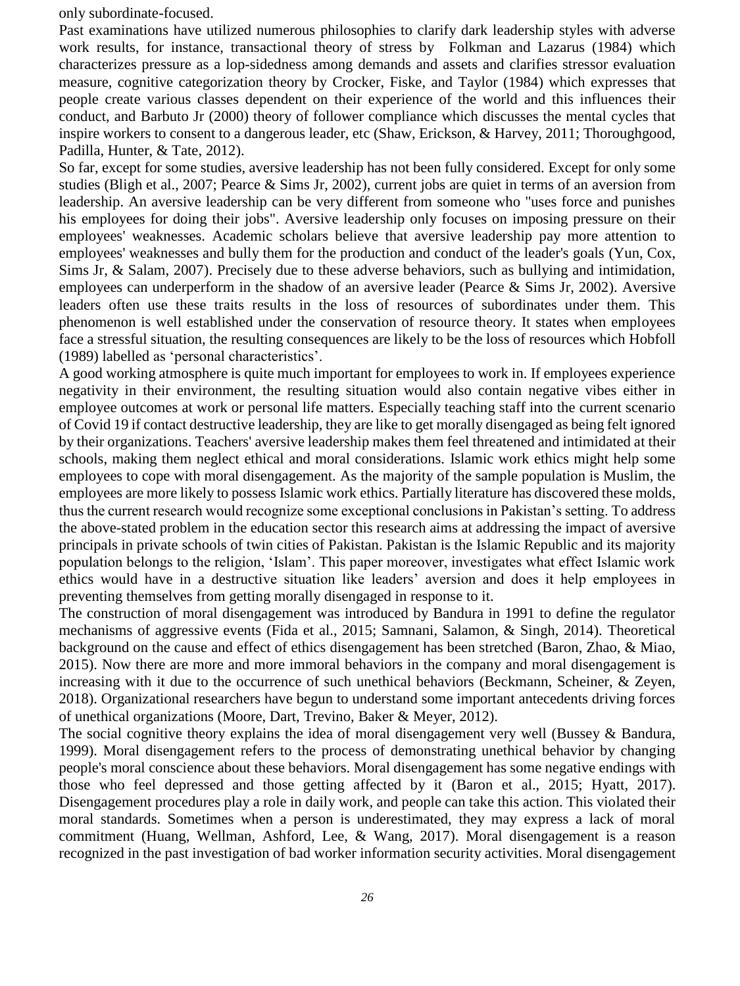only subordinate-focused.

Past examinations have utilized numerous philosophies to clarify dark leadership styles with adverse work results, for instance, transactional theory of stress by Folkman and Lazarus (1984) which characterizes pressure as a lop-sidedness among demands and assets and clarifies stressor evaluation measure, cognitive categorization theory by Crocker, Fiske, and Taylor (1984) which expresses that people create various classes dependent on their experience of the world and this influences their conduct, and Barbuto Jr (2000) theory of follower compliance which discusses the mental cycles that inspire workers to consent to a dangerous leader, etc (Shaw, Erickson, & Harvey, 2011; Thoroughgood, Padilla, Hunter, & Tate, 2012).

So far, except for some studies, aversive leadership has not been fully considered. Except for only some studies (Bligh et al., 2007; Pearce & Sims Jr, 2002), current jobs are quiet in terms of an aversion from leadership. An aversive leadership can be very different from someone who "uses force and punishes his employees for doing their jobs". Aversive leadership only focuses on imposing pressure on their employees' weaknesses. Academic scholars believe that aversive leadership pay more attention to employees' weaknesses and bully them for the production and conduct of the leader's goals (Yun, Cox, Sims Jr, & Salam, 2007). Precisely due to these adverse behaviors, such as bullying and intimidation, employees can underperform in the shadow of an aversive leader (Pearce & Sims Jr, 2002). Aversive leaders often use these traits results in the loss of resources of subordinates under them. This phenomenon is well established under the conservation of resource theory. It states when employees face a stressful situation, the resulting consequences are likely to be the loss of resources which Hobfoll (1989) labelled as 'personal characteristics'.

A good working atmosphere is quite much important for employees to work in. If employees experience negativity in their environment, the resulting situation would also contain negative vibes either in employee outcomes at work or personal life matters. Especially teaching staff into the current scenario of Covid 19 if contact destructive leadership, they are like to get morally disengaged as being felt ignored by their organizations. Teachers' aversive leadership makes them feel threatened and intimidated at their schools, making them neglect ethical and moral considerations. Islamic work ethics might help some employees to cope with moral disengagement. As the majority of the sample population is Muslim, the employees are more likely to possess Islamic work ethics. Partially literature has discovered these molds, thus the current research would recognize some exceptional conclusions in Pakistan's setting. To address the above-stated problem in the education sector this research aims at addressing the impact of aversive principals in private schools of twin cities of Pakistan. Pakistan is the Islamic Republic and its majority population belongs to the religion, 'Islam'. This paper moreover, investigates what effect Islamic work ethics would have in a destructive situation like leaders' aversion and does it help employees in preventing themselves from getting morally disengaged in response to it.

The construction of moral disengagement was introduced by Bandura in 1991 to define the regulator mechanisms of aggressive events (Fida et al., 2015; Samnani, Salamon, & Singh, 2014). Theoretical background on the cause and effect of ethics disengagement has been stretched (Baron, Zhao, & Miao, 2015). Now there are more and more immoral behaviors in the company and moral disengagement is increasing with it due to the occurrence of such unethical behaviors (Beckmann, Scheiner, & Zeyen, 2018). Organizational researchers have begun to understand some important antecedents driving forces of unethical organizations (Moore, Dart, Trevino, Baker & Meyer, 2012).

The social cognitive theory explains the idea of moral disengagement very well (Bussey & Bandura, 1999). Moral disengagement refers to the process of demonstrating unethical behavior by changing people's moral conscience about these behaviors. Moral disengagement has some negative endings with those who feel depressed and those getting affected by it (Baron et al., 2015; Hyatt, 2017). Disengagement procedures play a role in daily work, and people can take this action. This violated their moral standards. Sometimes when a person is underestimated, they may express a lack of moral commitment (Huang, Wellman, Ashford, Lee, & Wang, 2017). Moral disengagement is a reason recognized in the past investigation of bad worker information security activities. Moral disengagement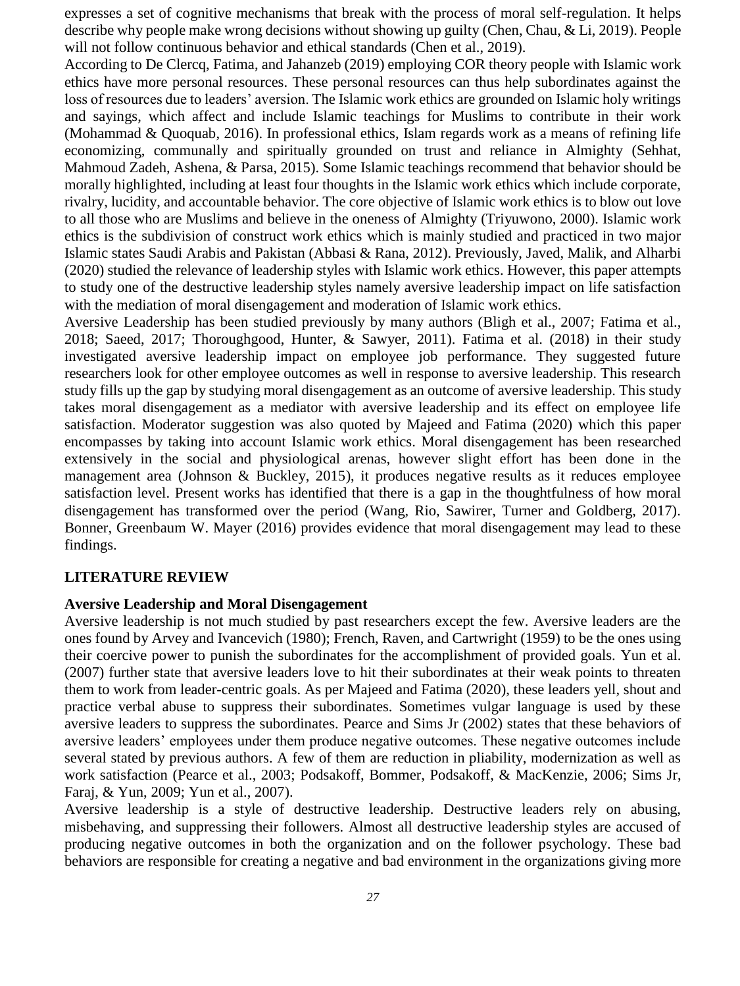expresses a set of cognitive mechanisms that break with the process of moral self-regulation. It helps describe why people make wrong decisions without showing up guilty (Chen, Chau, & Li, 2019). People will not follow continuous behavior and ethical standards (Chen et al., 2019).

According to De Clercq, Fatima, and Jahanzeb (2019) employing COR theory people with Islamic work ethics have more personal resources. These personal resources can thus help subordinates against the loss of resources due to leaders' aversion. The Islamic work ethics are grounded on Islamic holy writings and sayings, which affect and include Islamic teachings for Muslims to contribute in their work (Mohammad & Quoquab, 2016). In professional ethics, Islam regards work as a means of refining life economizing, communally and spiritually grounded on trust and reliance in Almighty (Sehhat, Mahmoud Zadeh, Ashena, & Parsa, 2015). Some Islamic teachings recommend that behavior should be morally highlighted, including at least four thoughts in the Islamic work ethics which include corporate, rivalry, lucidity, and accountable behavior. The core objective of Islamic work ethics is to blow out love to all those who are Muslims and believe in the oneness of Almighty (Triyuwono, 2000). Islamic work ethics is the subdivision of construct work ethics which is mainly studied and practiced in two major Islamic states Saudi Arabis and Pakistan (Abbasi & Rana, 2012). Previously, Javed, Malik, and Alharbi (2020) studied the relevance of leadership styles with Islamic work ethics. However, this paper attempts to study one of the destructive leadership styles namely aversive leadership impact on life satisfaction with the mediation of moral disengagement and moderation of Islamic work ethics.

Aversive Leadership has been studied previously by many authors (Bligh et al., 2007; Fatima et al., 2018; Saeed, 2017; Thoroughgood, Hunter, & Sawyer, 2011). Fatima et al. (2018) in their study investigated aversive leadership impact on employee job performance. They suggested future researchers look for other employee outcomes as well in response to aversive leadership. This research study fills up the gap by studying moral disengagement as an outcome of aversive leadership. This study takes moral disengagement as a mediator with aversive leadership and its effect on employee life satisfaction. Moderator suggestion was also quoted by Majeed and Fatima (2020) which this paper encompasses by taking into account Islamic work ethics. Moral disengagement has been researched extensively in the social and physiological arenas, however slight effort has been done in the management area (Johnson & Buckley, 2015), it produces negative results as it reduces employee satisfaction level. Present works has identified that there is a gap in the thoughtfulness of how moral disengagement has transformed over the period (Wang, Rio, Sawirer, Turner and Goldberg, 2017). Bonner, Greenbaum W. Mayer (2016) provides evidence that moral disengagement may lead to these findings.

### **LITERATURE REVIEW**

#### **Aversive Leadership and Moral Disengagement**

Aversive leadership is not much studied by past researchers except the few. Aversive leaders are the ones found by Arvey and Ivancevich (1980); French, Raven, and Cartwright (1959) to be the ones using their coercive power to punish the subordinates for the accomplishment of provided goals. Yun et al. (2007) further state that aversive leaders love to hit their subordinates at their weak points to threaten them to work from leader-centric goals. As per Majeed and Fatima (2020), these leaders yell, shout and practice verbal abuse to suppress their subordinates. Sometimes vulgar language is used by these aversive leaders to suppress the subordinates. Pearce and Sims Jr (2002) states that these behaviors of aversive leaders' employees under them produce negative outcomes. These negative outcomes include several stated by previous authors. A few of them are reduction in pliability, modernization as well as work satisfaction (Pearce et al., 2003; Podsakoff, Bommer, Podsakoff, & MacKenzie, 2006; Sims Jr, Faraj, & Yun, 2009; Yun et al., 2007).

Aversive leadership is a style of destructive leadership. Destructive leaders rely on abusing, misbehaving, and suppressing their followers. Almost all destructive leadership styles are accused of producing negative outcomes in both the organization and on the follower psychology. These bad behaviors are responsible for creating a negative and bad environment in the organizations giving more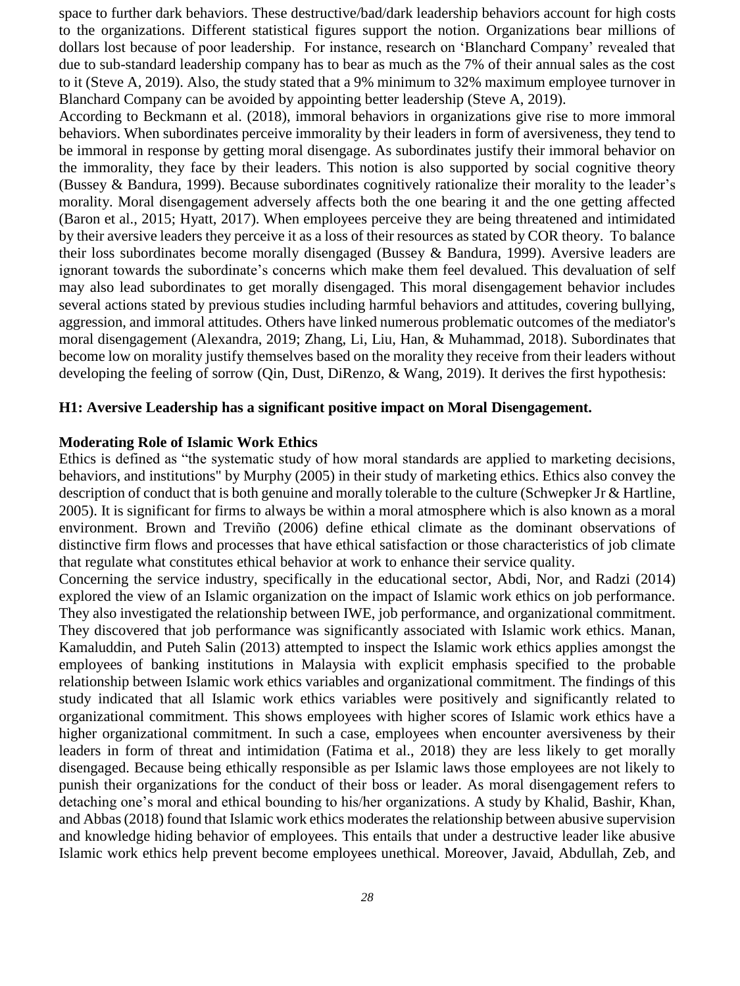space to further dark behaviors. These destructive/bad/dark leadership behaviors account for high costs to the organizations. Different statistical figures support the notion. Organizations bear millions of dollars lost because of poor leadership. For instance, research on 'Blanchard Company' revealed that due to sub-standard leadership company has to bear as much as the 7% of their annual sales as the cost to it (Steve A, 2019). Also, the study stated that a 9% minimum to 32% maximum employee turnover in Blanchard Company can be avoided by appointing better leadership (Steve A, 2019).

According to Beckmann et al. (2018), immoral behaviors in organizations give rise to more immoral behaviors. When subordinates perceive immorality by their leaders in form of aversiveness, they tend to be immoral in response by getting moral disengage. As subordinates justify their immoral behavior on the immorality, they face by their leaders. This notion is also supported by social cognitive theory (Bussey & Bandura, 1999). Because subordinates cognitively rationalize their morality to the leader's morality. Moral disengagement adversely affects both the one bearing it and the one getting affected (Baron et al., 2015; Hyatt, 2017). When employees perceive they are being threatened and intimidated by their aversive leaders they perceive it as a loss of their resources as stated by COR theory. To balance their loss subordinates become morally disengaged (Bussey & Bandura, 1999). Aversive leaders are ignorant towards the subordinate's concerns which make them feel devalued. This devaluation of self may also lead subordinates to get morally disengaged. This moral disengagement behavior includes several actions stated by previous studies including harmful behaviors and attitudes, covering bullying, aggression, and immoral attitudes. Others have linked numerous problematic outcomes of the mediator's moral disengagement (Alexandra, 2019; [Zhang, Li, Liu, Han, & Muhammad, 2018\)](#page-11-0). Subordinates that become low on morality justify themselves based on the morality they receive from their leaders without developing the feeling of sorrow (Qin, Dust, DiRenzo, & Wang, 2019). It derives the first hypothesis:

#### **H1: Aversive Leadership has a significant positive impact on Moral Disengagement.**

#### **Moderating Role of Islamic Work Ethics**

Ethics is defined as "the systematic study of how moral standards are applied to marketing decisions, behaviors, and institutions" by Murphy (2005) in their study of marketing ethics. Ethics also convey the description of conduct that is both genuine and morally tolerable to the culture (Schwepker Jr & Hartline, 2005). It is significant for firms to always be within a moral atmosphere which is also known as a moral environment. Brown and Treviño (2006) define ethical climate as the dominant observations of distinctive firm flows and processes that have ethical satisfaction or those characteristics of job climate that regulate what constitutes ethical behavior at work to enhance their service quality.

Concerning the service industry, specifically in the educational sector, Abdi, Nor, and Radzi (2014) explored the view of an Islamic organization on the impact of Islamic work ethics on job performance. They also investigated the relationship between IWE, job performance, and organizational commitment. They discovered that job performance was significantly associated with Islamic work ethics. Manan, Kamaluddin, and Puteh Salin (2013) attempted to inspect the Islamic work ethics applies amongst the employees of banking institutions in Malaysia with explicit emphasis specified to the probable relationship between Islamic work ethics variables and organizational commitment. The findings of this study indicated that all Islamic work ethics variables were positively and significantly related to organizational commitment. This shows employees with higher scores of Islamic work ethics have a higher organizational commitment. In such a case, employees when encounter aversiveness by their leaders in form of threat and intimidation (Fatima et al., 2018) they are less likely to get morally disengaged. Because being ethically responsible as per Islamic laws those employees are not likely to punish their organizations for the conduct of their boss or leader. As moral disengagement refers to detaching one's moral and ethical bounding to his/her organizations. A study by Khalid, Bashir, Khan, and Abbas (2018) found that Islamic work ethics moderates the relationship between abusive supervision and knowledge hiding behavior of employees. This entails that under a destructive leader like abusive Islamic work ethics help prevent become employees unethical. Moreover, Javaid, Abdullah, Zeb, and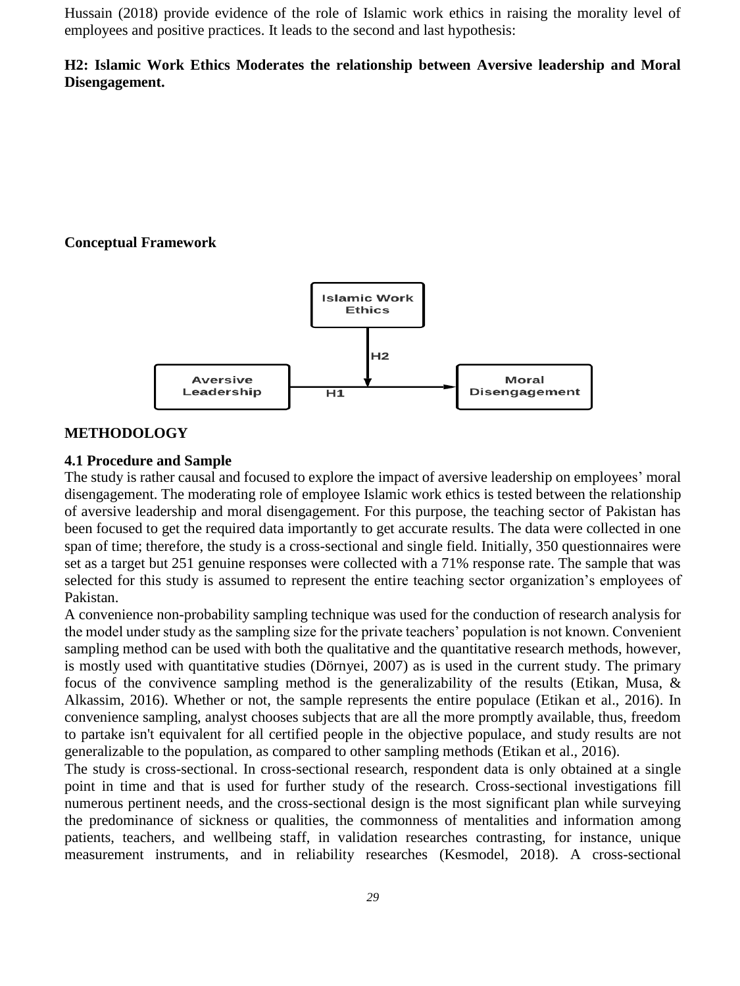Hussain (2018) provide evidence of the role of Islamic work ethics in raising the morality level of employees and positive practices. It leads to the second and last hypothesis:

# **H2: Islamic Work Ethics Moderates the relationship between Aversive leadership and Moral Disengagement.**

# **Conceptual Framework**



## **METHODOLOGY**

## **4.1 Procedure and Sample**

The study is rather causal and focused to explore the impact of aversive leadership on employees' moral disengagement. The moderating role of employee Islamic work ethics is tested between the relationship of aversive leadership and moral disengagement. For this purpose, the teaching sector of Pakistan has been focused to get the required data importantly to get accurate results. The data were collected in one span of time; therefore, the study is a cross-sectional and single field. Initially, 350 questionnaires were set as a target but 251 genuine responses were collected with a 71% response rate. The sample that was selected for this study is assumed to represent the entire teaching sector organization's employees of Pakistan.

A convenience non-probability sampling technique was used for the conduction of research analysis for the model under study as the sampling size for the private teachers' population is not known. Convenient sampling method can be used with both the qualitative and the quantitative research methods, however, is mostly used with quantitative studies (Dörnyei, 2007) as is used in the current study. The primary focus of the convivence sampling method is the generalizability of the results (Etikan, Musa, & Alkassim, 2016). Whether or not, the sample represents the entire populace (Etikan et al., 2016). In convenience sampling, analyst chooses subjects that are all the more promptly available, thus, freedom to partake isn't equivalent for all certified people in the objective populace, and study results are not generalizable to the population, as compared to other sampling methods (Etikan et al., 2016).

The study is cross-sectional. In cross-sectional research, respondent data is only obtained at a single point in time and that is used for further study of the research. Cross-sectional investigations fill numerous pertinent needs, and the cross-sectional design is the most significant plan while surveying the predominance of sickness or qualities, the commonness of mentalities and information among patients, teachers, and wellbeing staff, in validation researches contrasting, for instance, unique measurement instruments, and in reliability researches (Kesmodel, 2018). A cross-sectional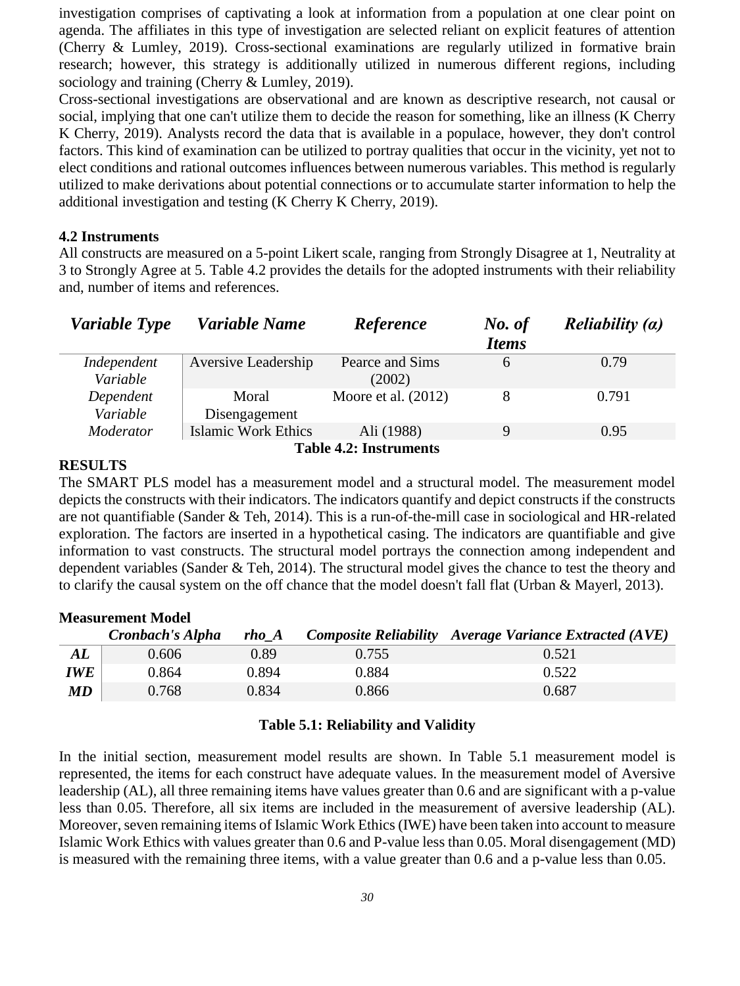investigation comprises of captivating a look at information from a population at one clear point on agenda. The affiliates in this type of investigation are selected reliant on explicit features of attention (Cherry & Lumley, 2019). Cross-sectional examinations are regularly utilized in formative brain research; however, this strategy is additionally utilized in numerous different regions, including sociology and training (Cherry & Lumley, 2019).

Cross-sectional investigations are observational and are known as descriptive research, not causal or social, implying that one can't utilize them to decide the reason for something, like an illness (K Cherry K Cherry, 2019). Analysts record the data that is available in a populace, however, they don't control factors. This kind of examination can be utilized to portray qualities that occur in the vicinity, yet not to elect conditions and rational outcomes influences between numerous variables. This method is regularly utilized to make derivations about potential connections or to accumulate starter information to help the additional investigation and testing (K Cherry K Cherry, 2019).

#### **4.2 Instruments**

All constructs are measured on a 5-point Likert scale, ranging from Strongly Disagree at 1, Neutrality at 3 to Strongly Agree at 5. Table 4.2 provides the details for the adopted instruments with their reliability and, number of items and references.

| Variable Type                 | Variable Name              | Reference             | No. of       | <i>Reliability <math>(a)</math></i> |  |
|-------------------------------|----------------------------|-----------------------|--------------|-------------------------------------|--|
|                               |                            |                       | <b>Items</b> |                                     |  |
| Independent                   | Aversive Leadership        | Pearce and Sims       | 6            | 0.79                                |  |
| Variable                      |                            | (2002)                |              |                                     |  |
| Dependent                     | Moral                      | Moore et al. $(2012)$ | 8            | 0.791                               |  |
| Variable                      | Disengagement              |                       |              |                                     |  |
| Moderator                     | <b>Islamic Work Ethics</b> | Ali (1988)            | 9            | 0.95                                |  |
| <b>Table 4.2: Instruments</b> |                            |                       |              |                                     |  |

#### **RESULTS**

The SMART PLS model has a measurement model and a structural model. The measurement model depicts the constructs with their indicators. The indicators quantify and depict constructs if the constructs are not quantifiable (Sander & Teh, 2014). This is a run-of-the-mill case in sociological and HR-related exploration. The factors are inserted in a hypothetical casing. The indicators are quantifiable and give information to vast constructs. The structural model portrays the connection among independent and dependent variables (Sander & Teh, 2014). The structural model gives the chance to test the theory and to clarify the causal system on the off chance that the model doesn't fall flat (Urban & Mayerl, 2013).

| <b>Measurement Model</b> |                  |       |       |                                                               |  |
|--------------------------|------------------|-------|-------|---------------------------------------------------------------|--|
|                          | Cronbach's Alpha | rho A |       | <b>Composite Reliability</b> Average Variance Extracted (AVE) |  |
| ${\bm A} {\bm L}$        | 0.606            | 0.89  | 0.755 | 0.521                                                         |  |
| <b>IWE</b>               | 0.864            | 0.894 | 0.884 | 0.522                                                         |  |
| MD                       | 0.768            | 0.834 | 0.866 | 0.687                                                         |  |

#### **Table 5.1: Reliability and Validity**

In the initial section, measurement model results are shown. In Table 5.1 measurement model is represented, the items for each construct have adequate values. In the measurement model of Aversive leadership (AL), all three remaining items have values greater than 0.6 and are significant with a p-value less than 0.05. Therefore, all six items are included in the measurement of aversive leadership (AL). Moreover, seven remaining items of Islamic Work Ethics (IWE) have been taken into account to measure Islamic Work Ethics with values greater than 0.6 and P-value less than 0.05. Moral disengagement (MD) is measured with the remaining three items, with a value greater than 0.6 and a p-value less than 0.05.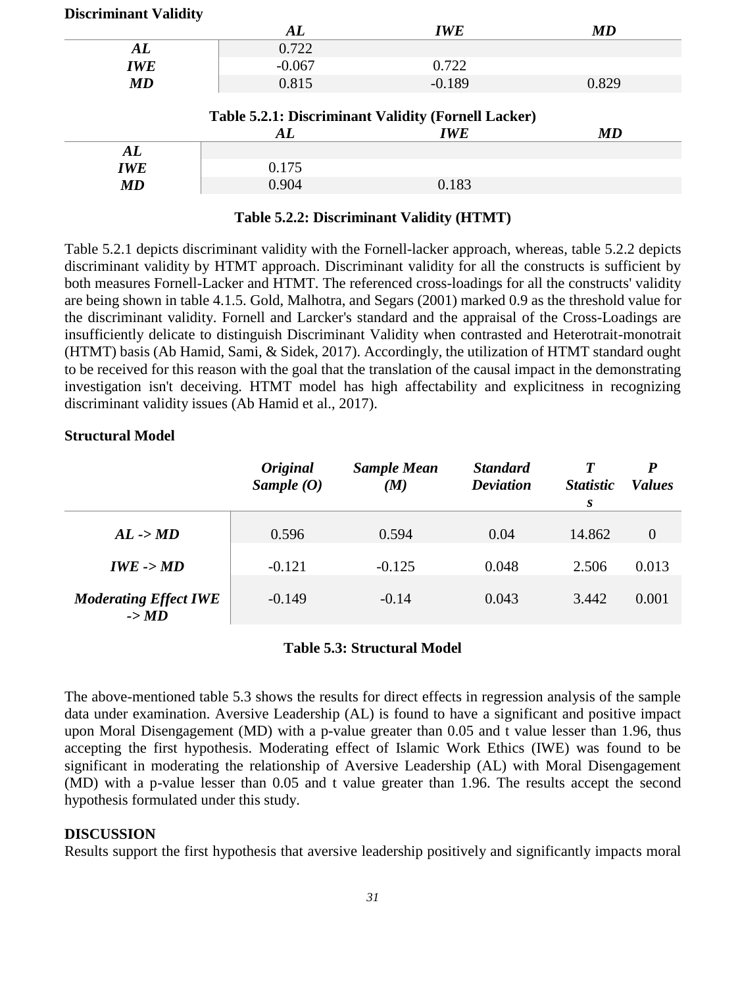|  |  | <b>Discriminant Validity</b> |  |
|--|--|------------------------------|--|
|  |  |                              |  |

|            | AL       | <b>IWE</b> | MD    |
|------------|----------|------------|-------|
| AL         | 0.722    |            |       |
| <b>IWE</b> | $-0.067$ | 0.722      |       |
| <b>MD</b>  | 0.815    | $-0.189$   | 0.829 |
|            |          |            |       |

|     | AL    | IWE   | MD |
|-----|-------|-------|----|
| AL  |       |       |    |
| IWE | 0.175 |       |    |
| MD  | 0.904 | 0.183 |    |

## **Table 5.2.2: Discriminant Validity (HTMT)**

Table 5.2.1 depicts discriminant validity with the Fornell-lacker approach, whereas, table 5.2.2 depicts discriminant validity by HTMT approach. Discriminant validity for all the constructs is sufficient by both measures Fornell-Lacker and HTMT. The referenced cross-loadings for all the constructs' validity are being shown in table 4.1.5. Gold, Malhotra, and Segars (2001) marked 0.9 as the threshold value for the discriminant validity. Fornell and Larcker's standard and the appraisal of the Cross-Loadings are insufficiently delicate to distinguish Discriminant Validity when contrasted and Heterotrait-monotrait (HTMT) basis (Ab Hamid, Sami, & Sidek, 2017). Accordingly, the utilization of HTMT standard ought to be received for this reason with the goal that the translation of the causal impact in the demonstrating investigation isn't deceiving. HTMT model has high affectability and explicitness in recognizing discriminant validity issues (Ab Hamid et al., 2017).

## **Structural Model**

|                                                   | <b>Original</b><br>Sample $(0)$ | <b>Sample Mean</b><br>(M) | <b>Standard</b><br><b>Deviation</b> | $\boldsymbol{T}$<br><i>Statistic</i><br>S | P<br><i>Values</i> |
|---------------------------------------------------|---------------------------------|---------------------------|-------------------------------------|-------------------------------------------|--------------------|
| $AL$ -> $MD$                                      | 0.596                           | 0.594                     | 0.04                                | 14.862                                    | $\theta$           |
| $IWE - > MD$                                      | $-0.121$                        | $-0.125$                  | 0.048                               | 2.506                                     | 0.013              |
| <b>Moderating Effect IWE</b><br>$\rightarrow M D$ | $-0.149$                        | $-0.14$                   | 0.043                               | 3.442                                     | 0.001              |

### **Table 5.3: Structural Model**

The above-mentioned table 5.3 shows the results for direct effects in regression analysis of the sample data under examination. Aversive Leadership (AL) is found to have a significant and positive impact upon Moral Disengagement (MD) with a p-value greater than 0.05 and t value lesser than 1.96, thus accepting the first hypothesis. Moderating effect of Islamic Work Ethics (IWE) was found to be significant in moderating the relationship of Aversive Leadership (AL) with Moral Disengagement (MD) with a p-value lesser than 0.05 and t value greater than 1.96. The results accept the second hypothesis formulated under this study.

### **DISCUSSION**

Results support the first hypothesis that aversive leadership positively and significantly impacts moral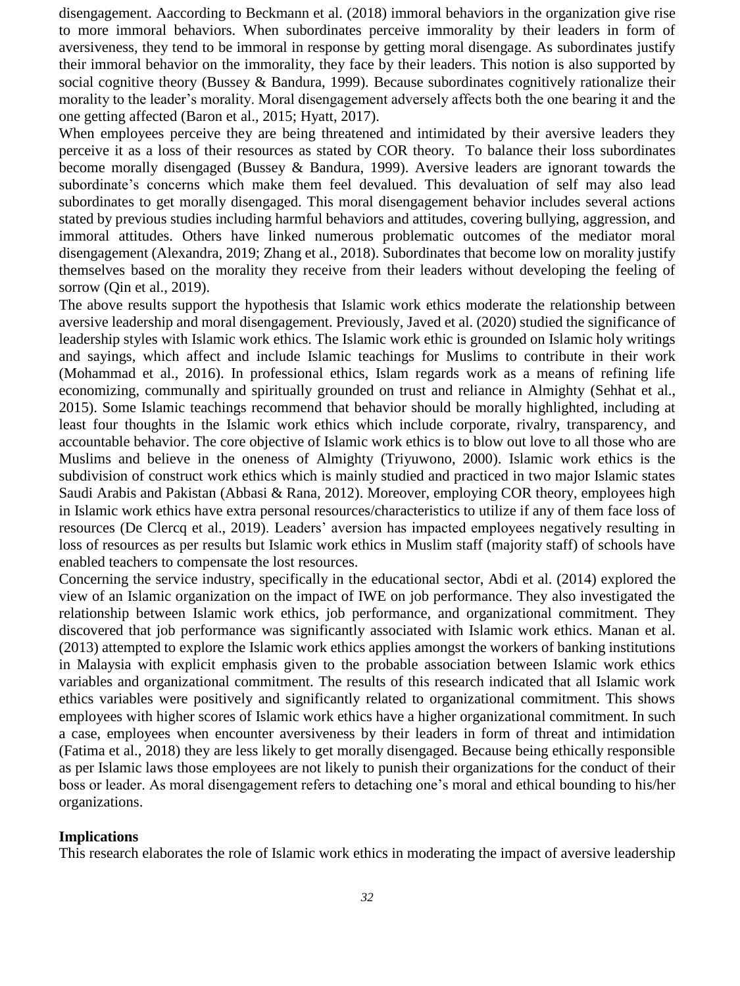disengagement. Aaccording to Beckmann et al. (2018) immoral behaviors in the organization give rise to more immoral behaviors. When subordinates perceive immorality by their leaders in form of aversiveness, they tend to be immoral in response by getting moral disengage. As subordinates justify their immoral behavior on the immorality, they face by their leaders. This notion is also supported by social cognitive theory (Bussey & Bandura, 1999). Because subordinates cognitively rationalize their morality to the leader's morality. Moral disengagement adversely affects both the one bearing it and the one getting affected (Baron et al., 2015; Hyatt, 2017).

When employees perceive they are being threatened and intimidated by their aversive leaders they perceive it as a loss of their resources as stated by COR theory. To balance their loss subordinates become morally disengaged (Bussey & Bandura, 1999). Aversive leaders are ignorant towards the subordinate's concerns which make them feel devalued. This devaluation of self may also lead subordinates to get morally disengaged. This moral disengagement behavior includes several actions stated by previous studies including harmful behaviors and attitudes, covering bullying, aggression, and immoral attitudes. Others have linked numerous problematic outcomes of the mediator moral disengagement (Alexandra, 2019; [Zhang et al., 2018\)](#page-11-0). Subordinates that become low on morality justify themselves based on the morality they receive from their leaders without developing the feeling of sorrow (Oin et al., 2019).

The above results support the hypothesis that Islamic work ethics moderate the relationship between aversive leadership and moral disengagement. Previously, Javed et al. (2020) studied the significance of leadership styles with Islamic work ethics. The Islamic work ethic is grounded on Islamic holy writings and sayings, which affect and include Islamic teachings for Muslims to contribute in their work (Mohammad et al., 2016). In professional ethics, Islam regards work as a means of refining life economizing, communally and spiritually grounded on trust and reliance in Almighty (Sehhat et al., 2015). Some Islamic teachings recommend that behavior should be morally highlighted, including at least four thoughts in the Islamic work ethics which include corporate, rivalry, transparency, and accountable behavior. The core objective of Islamic work ethics is to blow out love to all those who are Muslims and believe in the oneness of Almighty (Triyuwono, 2000). Islamic work ethics is the subdivision of construct work ethics which is mainly studied and practiced in two major Islamic states Saudi Arabis and Pakistan (Abbasi & Rana, 2012). Moreover, employing COR theory, employees high in Islamic work ethics have extra personal resources/characteristics to utilize if any of them face loss of resources (De Clercq et al., 2019). Leaders' aversion has impacted employees negatively resulting in loss of resources as per results but Islamic work ethics in Muslim staff (majority staff) of schools have enabled teachers to compensate the lost resources.

Concerning the service industry, specifically in the educational sector, Abdi et al. (2014) explored the view of an Islamic organization on the impact of IWE on job performance. They also investigated the relationship between Islamic work ethics, job performance, and organizational commitment. They discovered that job performance was significantly associated with Islamic work ethics. Manan et al. (2013) attempted to explore the Islamic work ethics applies amongst the workers of banking institutions in Malaysia with explicit emphasis given to the probable association between Islamic work ethics variables and organizational commitment. The results of this research indicated that all Islamic work ethics variables were positively and significantly related to organizational commitment. This shows employees with higher scores of Islamic work ethics have a higher organizational commitment. In such a case, employees when encounter aversiveness by their leaders in form of threat and intimidation (Fatima et al., 2018) they are less likely to get morally disengaged. Because being ethically responsible as per Islamic laws those employees are not likely to punish their organizations for the conduct of their boss or leader. As moral disengagement refers to detaching one's moral and ethical bounding to his/her organizations.

#### **Implications**

This research elaborates the role of Islamic work ethics in moderating the impact of aversive leadership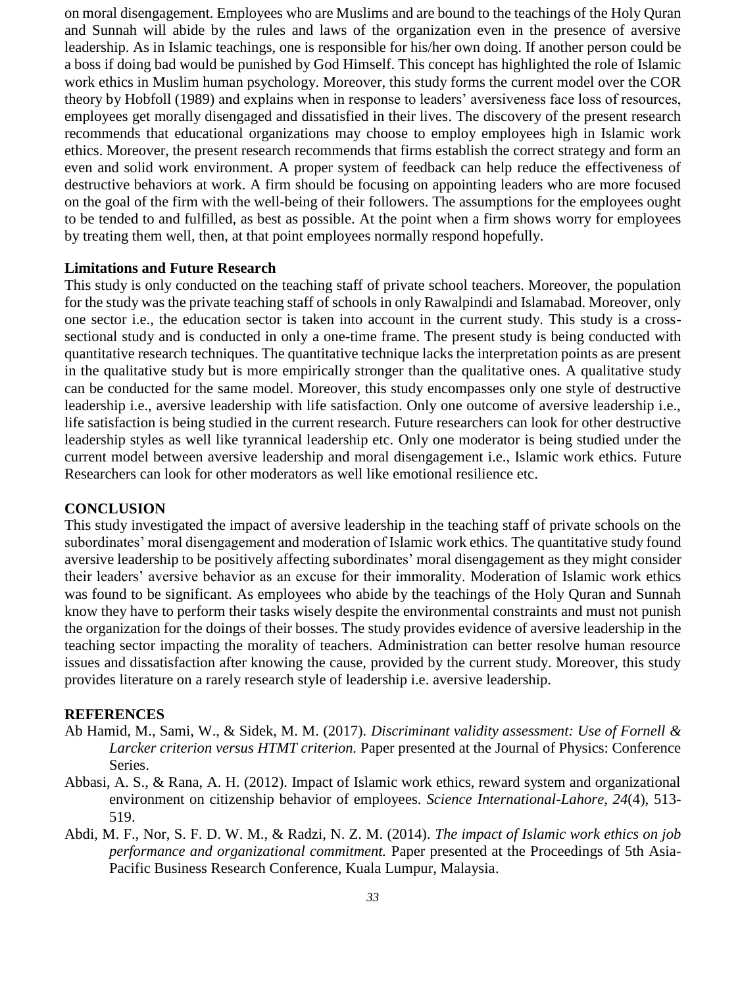on moral disengagement. Employees who are Muslims and are bound to the teachings of the Holy Quran and Sunnah will abide by the rules and laws of the organization even in the presence of aversive leadership. As in Islamic teachings, one is responsible for his/her own doing. If another person could be a boss if doing bad would be punished by God Himself. This concept has highlighted the role of Islamic work ethics in Muslim human psychology. Moreover, this study forms the current model over the COR theory by Hobfoll (1989) and explains when in response to leaders' aversiveness face loss of resources, employees get morally disengaged and dissatisfied in their lives. The discovery of the present research recommends that educational organizations may choose to employ employees high in Islamic work ethics. Moreover, the present research recommends that firms establish the correct strategy and form an even and solid work environment. A proper system of feedback can help reduce the effectiveness of destructive behaviors at work. A firm should be focusing on appointing leaders who are more focused on the goal of the firm with the well-being of their followers. The assumptions for the employees ought to be tended to and fulfilled, as best as possible. At the point when a firm shows worry for employees by treating them well, then, at that point employees normally respond hopefully.

#### **Limitations and Future Research**

This study is only conducted on the teaching staff of private school teachers. Moreover, the population for the study was the private teaching staff of schools in only Rawalpindi and Islamabad. Moreover, only one sector i.e., the education sector is taken into account in the current study. This study is a crosssectional study and is conducted in only a one-time frame. The present study is being conducted with quantitative research techniques. The quantitative technique lacks the interpretation points as are present in the qualitative study but is more empirically stronger than the qualitative ones. A qualitative study can be conducted for the same model. Moreover, this study encompasses only one style of destructive leadership i.e., aversive leadership with life satisfaction. Only one outcome of aversive leadership i.e., life satisfaction is being studied in the current research. Future researchers can look for other destructive leadership styles as well like tyrannical leadership etc. Only one moderator is being studied under the current model between aversive leadership and moral disengagement i.e., Islamic work ethics. Future Researchers can look for other moderators as well like emotional resilience etc.

#### **CONCLUSION**

This study investigated the impact of aversive leadership in the teaching staff of private schools on the subordinates' moral disengagement and moderation of Islamic work ethics. The quantitative study found aversive leadership to be positively affecting subordinates' moral disengagement as they might consider their leaders' aversive behavior as an excuse for their immorality. Moderation of Islamic work ethics was found to be significant. As employees who abide by the teachings of the Holy Quran and Sunnah know they have to perform their tasks wisely despite the environmental constraints and must not punish the organization for the doings of their bosses. The study provides evidence of aversive leadership in the teaching sector impacting the morality of teachers. Administration can better resolve human resource issues and dissatisfaction after knowing the cause, provided by the current study. Moreover, this study provides literature on a rarely research style of leadership i.e. aversive leadership.

#### **REFERENCES**

- Ab Hamid, M., Sami, W., & Sidek, M. M. (2017). *Discriminant validity assessment: Use of Fornell & Larcker criterion versus HTMT criterion.* Paper presented at the Journal of Physics: Conference Series.
- Abbasi, A. S., & Rana, A. H. (2012). Impact of Islamic work ethics, reward system and organizational environment on citizenship behavior of employees. *Science International-Lahore, 24*(4), 513- 519.
- Abdi, M. F., Nor, S. F. D. W. M., & Radzi, N. Z. M. (2014). *The impact of Islamic work ethics on job performance and organizational commitment.* Paper presented at the Proceedings of 5th Asia-Pacific Business Research Conference, Kuala Lumpur, Malaysia.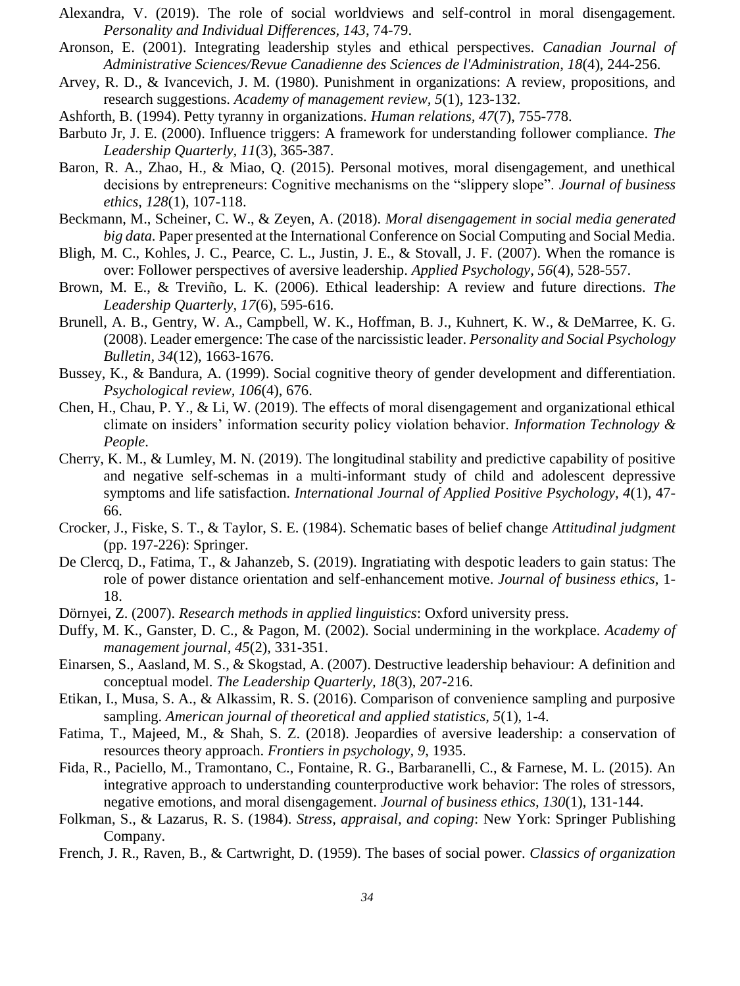- Alexandra, V. (2019). The role of social worldviews and self-control in moral disengagement. *Personality and Individual Differences, 143*, 74-79.
- Aronson, E. (2001). Integrating leadership styles and ethical perspectives. *Canadian Journal of Administrative Sciences/Revue Canadienne des Sciences de l'Administration, 18*(4), 244-256.
- Arvey, R. D., & Ivancevich, J. M. (1980). Punishment in organizations: A review, propositions, and research suggestions. *Academy of management review, 5*(1), 123-132.
- Ashforth, B. (1994). Petty tyranny in organizations. *Human relations, 47*(7), 755-778.
- Barbuto Jr, J. E. (2000). Influence triggers: A framework for understanding follower compliance. *The Leadership Quarterly, 11*(3), 365-387.
- Baron, R. A., Zhao, H., & Miao, Q. (2015). Personal motives, moral disengagement, and unethical decisions by entrepreneurs: Cognitive mechanisms on the "slippery slope". *Journal of business ethics, 128*(1), 107-118.
- Beckmann, M., Scheiner, C. W., & Zeyen, A. (2018). *Moral disengagement in social media generated big data.* Paper presented at the International Conference on Social Computing and Social Media.
- Bligh, M. C., Kohles, J. C., Pearce, C. L., Justin, J. E., & Stovall, J. F. (2007). When the romance is over: Follower perspectives of aversive leadership. *Applied Psychology, 56*(4), 528-557.
- Brown, M. E., & Treviño, L. K. (2006). Ethical leadership: A review and future directions. *The Leadership Quarterly, 17*(6), 595-616.
- Brunell, A. B., Gentry, W. A., Campbell, W. K., Hoffman, B. J., Kuhnert, K. W., & DeMarree, K. G. (2008). Leader emergence: The case of the narcissistic leader. *Personality and Social Psychology Bulletin, 34*(12), 1663-1676.
- Bussey, K., & Bandura, A. (1999). Social cognitive theory of gender development and differentiation. *Psychological review, 106*(4), 676.
- Chen, H., Chau, P. Y., & Li, W. (2019). The effects of moral disengagement and organizational ethical climate on insiders' information security policy violation behavior. *Information Technology & People*.
- Cherry, K. M., & Lumley, M. N. (2019). The longitudinal stability and predictive capability of positive and negative self-schemas in a multi-informant study of child and adolescent depressive symptoms and life satisfaction. *International Journal of Applied Positive Psychology, 4*(1), 47- 66.
- Crocker, J., Fiske, S. T., & Taylor, S. E. (1984). Schematic bases of belief change *Attitudinal judgment* (pp. 197-226): Springer.
- De Clercq, D., Fatima, T., & Jahanzeb, S. (2019). Ingratiating with despotic leaders to gain status: The role of power distance orientation and self-enhancement motive. *Journal of business ethics*, 1- 18.
- Dörnyei, Z. (2007). *Research methods in applied linguistics*: Oxford university press.
- Duffy, M. K., Ganster, D. C., & Pagon, M. (2002). Social undermining in the workplace. *Academy of management journal, 45*(2), 331-351.
- Einarsen, S., Aasland, M. S., & Skogstad, A. (2007). Destructive leadership behaviour: A definition and conceptual model. *The Leadership Quarterly, 18*(3), 207-216.
- Etikan, I., Musa, S. A., & Alkassim, R. S. (2016). Comparison of convenience sampling and purposive sampling. *American journal of theoretical and applied statistics, 5*(1), 1-4.
- Fatima, T., Majeed, M., & Shah, S. Z. (2018). Jeopardies of aversive leadership: a conservation of resources theory approach. *Frontiers in psychology, 9*, 1935.
- Fida, R., Paciello, M., Tramontano, C., Fontaine, R. G., Barbaranelli, C., & Farnese, M. L. (2015). An integrative approach to understanding counterproductive work behavior: The roles of stressors, negative emotions, and moral disengagement. *Journal of business ethics, 130*(1), 131-144.
- Folkman, S., & Lazarus, R. S. (1984). *Stress, appraisal, and coping*: New York: Springer Publishing Company.
- French, J. R., Raven, B., & Cartwright, D. (1959). The bases of social power. *Classics of organization*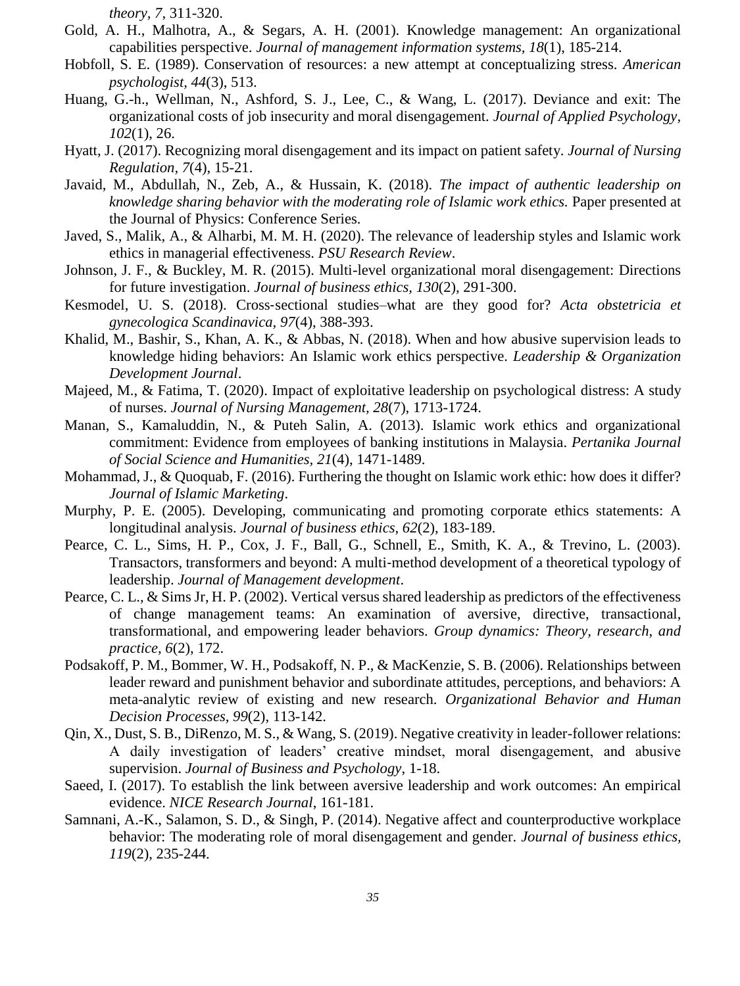*theory, 7*, 311-320.

- Gold, A. H., Malhotra, A., & Segars, A. H. (2001). Knowledge management: An organizational capabilities perspective. *Journal of management information systems, 18*(1), 185-214.
- Hobfoll, S. E. (1989). Conservation of resources: a new attempt at conceptualizing stress. *American psychologist, 44*(3), 513.
- Huang, G.-h., Wellman, N., Ashford, S. J., Lee, C., & Wang, L. (2017). Deviance and exit: The organizational costs of job insecurity and moral disengagement. *Journal of Applied Psychology, 102*(1), 26.
- Hyatt, J. (2017). Recognizing moral disengagement and its impact on patient safety. *Journal of Nursing Regulation, 7*(4), 15-21.
- Javaid, M., Abdullah, N., Zeb, A., & Hussain, K. (2018). *The impact of authentic leadership on knowledge sharing behavior with the moderating role of Islamic work ethics.* Paper presented at the Journal of Physics: Conference Series.
- Javed, S., Malik, A., & Alharbi, M. M. H. (2020). The relevance of leadership styles and Islamic work ethics in managerial effectiveness. *PSU Research Review*.
- Johnson, J. F., & Buckley, M. R. (2015). Multi-level organizational moral disengagement: Directions for future investigation. *Journal of business ethics, 130*(2), 291-300.
- Kesmodel, U. S. (2018). Cross‐sectional studies–what are they good for? *Acta obstetricia et gynecologica Scandinavica, 97*(4), 388-393.
- Khalid, M., Bashir, S., Khan, A. K., & Abbas, N. (2018). When and how abusive supervision leads to knowledge hiding behaviors: An Islamic work ethics perspective. *Leadership & Organization Development Journal*.
- Majeed, M., & Fatima, T. (2020). Impact of exploitative leadership on psychological distress: A study of nurses. *Journal of Nursing Management, 28*(7), 1713-1724.
- Manan, S., Kamaluddin, N., & Puteh Salin, A. (2013). Islamic work ethics and organizational commitment: Evidence from employees of banking institutions in Malaysia. *Pertanika Journal of Social Science and Humanities, 21*(4), 1471-1489.
- Mohammad, J., & Quoquab, F. (2016). Furthering the thought on Islamic work ethic: how does it differ? *Journal of Islamic Marketing*.
- Murphy, P. E. (2005). Developing, communicating and promoting corporate ethics statements: A longitudinal analysis. *Journal of business ethics, 62*(2), 183-189.
- Pearce, C. L., Sims, H. P., Cox, J. F., Ball, G., Schnell, E., Smith, K. A., & Trevino, L. (2003). Transactors, transformers and beyond: A multi‐method development of a theoretical typology of leadership. *Journal of Management development*.
- Pearce, C. L., & Sims Jr, H. P. (2002). Vertical versus shared leadership as predictors of the effectiveness of change management teams: An examination of aversive, directive, transactional, transformational, and empowering leader behaviors. *Group dynamics: Theory, research, and practice, 6*(2), 172.
- Podsakoff, P. M., Bommer, W. H., Podsakoff, N. P., & MacKenzie, S. B. (2006). Relationships between leader reward and punishment behavior and subordinate attitudes, perceptions, and behaviors: A meta-analytic review of existing and new research. *Organizational Behavior and Human Decision Processes, 99*(2), 113-142.
- Qin, X., Dust, S. B., DiRenzo, M. S., & Wang, S. (2019). Negative creativity in leader-follower relations: A daily investigation of leaders' creative mindset, moral disengagement, and abusive supervision. *Journal of Business and Psychology*, 1-18.
- Saeed, I. (2017). To establish the link between aversive leadership and work outcomes: An empirical evidence. *NICE Research Journal*, 161-181.
- Samnani, A.-K., Salamon, S. D., & Singh, P. (2014). Negative affect and counterproductive workplace behavior: The moderating role of moral disengagement and gender. *Journal of business ethics, 119*(2), 235-244.